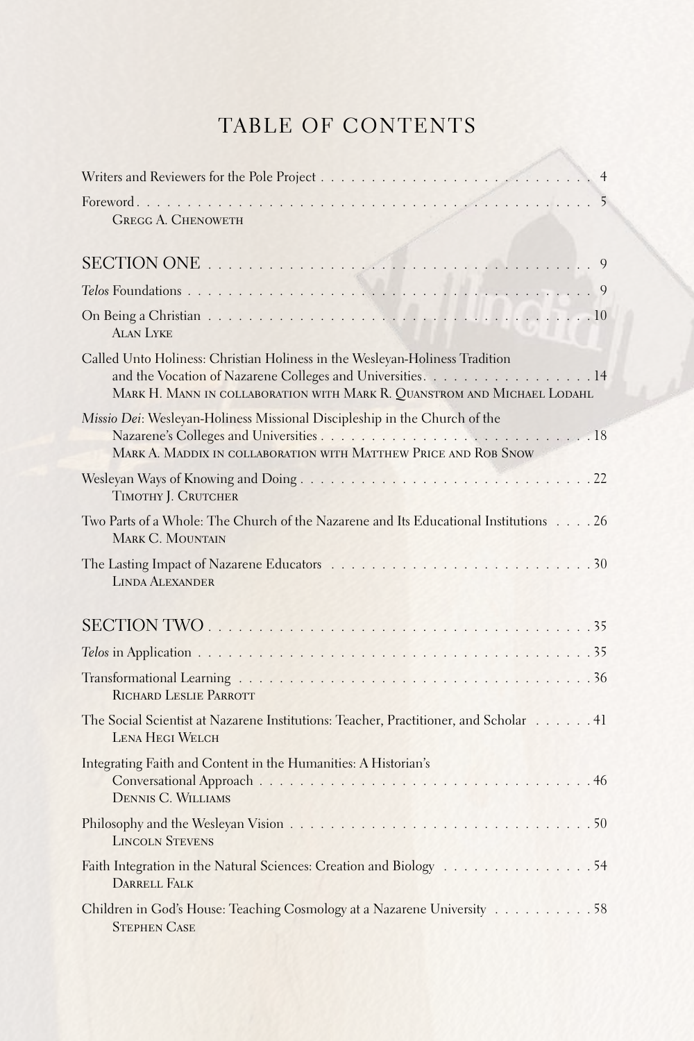## TABLE OF CONTENTS

| <b>GREGG A. CHENOWETH</b>                                                                                                                                                                                            |
|----------------------------------------------------------------------------------------------------------------------------------------------------------------------------------------------------------------------|
|                                                                                                                                                                                                                      |
|                                                                                                                                                                                                                      |
| <b>ALAN LYKE</b>                                                                                                                                                                                                     |
| Called Unto Holiness: Christian Holiness in the Wesleyan-Holiness Tradition<br>and the Vocation of Nazarene Colleges and Universities. 14<br>MARK H. MANN IN COLLABORATION WITH MARK R. QUANSTROM AND MICHAEL LODAHL |
| Missio Dei: Wesleyan-Holiness Missional Discipleship in the Church of the<br>MARK A. MADDIX IN COLLABORATION WITH MATTHEW PRICE AND ROB SNOW                                                                         |
| TIMOTHY J. CRUTCHER                                                                                                                                                                                                  |
| Two Parts of a Whole: The Church of the Nazarene and Its Educational Institutions 26<br>MARK C. MOUNTAIN                                                                                                             |
| <b>LINDA ALEXANDER</b>                                                                                                                                                                                               |
|                                                                                                                                                                                                                      |
|                                                                                                                                                                                                                      |
| RICHARD LESLIE PARROTT                                                                                                                                                                                               |
| The Social Scientist at Nazarene Institutions: Teacher, Practitioner, and Scholar 41<br>LENA HEGI WELCH                                                                                                              |
| Integrating Faith and Content in the Humanities: A Historian's<br><b>DENNIS C. WILLIAMS</b>                                                                                                                          |
| <b>LINCOLN STEVENS</b>                                                                                                                                                                                               |
| Faith Integration in the Natural Sciences: Creation and Biology 54<br><b>DARRELL FALK</b>                                                                                                                            |
| Children in God's House: Teaching Cosmology at a Nazarene University 58<br><b>STEPHEN CASE</b>                                                                                                                       |